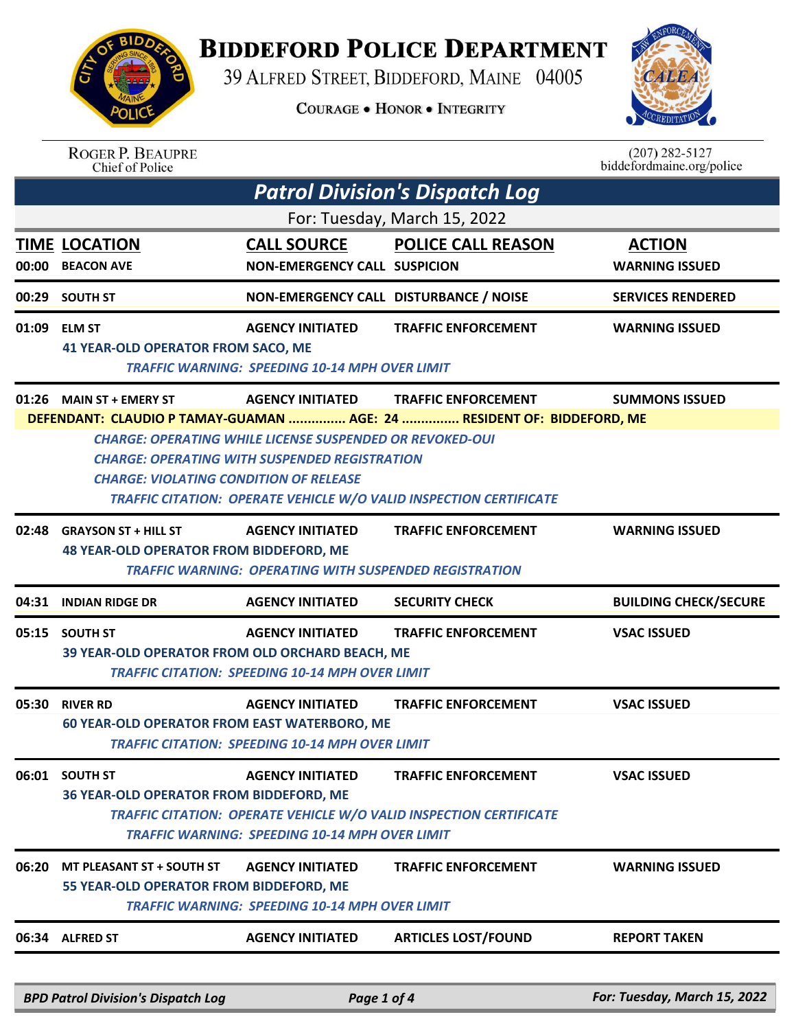

## **BIDDEFORD POLICE DEPARTMENT**

39 ALFRED STREET, BIDDEFORD, MAINE 04005

**COURAGE . HONOR . INTEGRITY** 



| <b>ROGER P. BEAUPRE</b> |
|-------------------------|
| Chief of Police         |

 $(207)$  282-5127<br>biddefordmaine.org/police

| <b>Patrol Division's Dispatch Log</b> |                                                                                                                                                                                                                                                                                                                                 |                                                                                          |                                                                                                         |                                        |  |  |
|---------------------------------------|---------------------------------------------------------------------------------------------------------------------------------------------------------------------------------------------------------------------------------------------------------------------------------------------------------------------------------|------------------------------------------------------------------------------------------|---------------------------------------------------------------------------------------------------------|----------------------------------------|--|--|
| For: Tuesday, March 15, 2022          |                                                                                                                                                                                                                                                                                                                                 |                                                                                          |                                                                                                         |                                        |  |  |
|                                       | <b>TIME LOCATION</b><br>00:00 BEACON AVE                                                                                                                                                                                                                                                                                        | <b>CALL SOURCE</b><br>NON-EMERGENCY CALL SUSPICION                                       | <b>POLICE CALL REASON</b>                                                                               | <b>ACTION</b><br><b>WARNING ISSUED</b> |  |  |
|                                       | 00:29 SOUTH ST                                                                                                                                                                                                                                                                                                                  | NON-EMERGENCY CALL DISTURBANCE / NOISE                                                   |                                                                                                         | <b>SERVICES RENDERED</b>               |  |  |
|                                       | 01:09 ELM ST<br><b>41 YEAR-OLD OPERATOR FROM SACO, ME</b>                                                                                                                                                                                                                                                                       | <b>AGENCY INITIATED</b><br><b>TRAFFIC WARNING: SPEEDING 10-14 MPH OVER LIMIT</b>         | <b>TRAFFIC ENFORCEMENT</b>                                                                              | <b>WARNING ISSUED</b>                  |  |  |
|                                       | 01:26 MAIN ST + EMERY ST                                                                                                                                                                                                                                                                                                        | <b>AGENCY INITIATED</b>                                                                  | <b>TRAFFIC ENFORCEMENT</b>                                                                              | <b>SUMMONS ISSUED</b>                  |  |  |
|                                       | DEFENDANT: CLAUDIO P TAMAY-GUAMAN  AGE: 24  RESIDENT OF: BIDDEFORD, ME<br><b>CHARGE: OPERATING WHILE LICENSE SUSPENDED OR REVOKED-OUI</b><br><b>CHARGE: OPERATING WITH SUSPENDED REGISTRATION</b><br><b>CHARGE: VIOLATING CONDITION OF RELEASE</b><br><b>TRAFFIC CITATION: OPERATE VEHICLE W/O VALID INSPECTION CERTIFICATE</b> |                                                                                          |                                                                                                         |                                        |  |  |
|                                       | 02:48 GRAYSON ST + HILL ST<br><b>48 YEAR-OLD OPERATOR FROM BIDDEFORD, ME</b>                                                                                                                                                                                                                                                    | <b>AGENCY INITIATED</b><br><b>TRAFFIC WARNING: OPERATING WITH SUSPENDED REGISTRATION</b> | <b>TRAFFIC ENFORCEMENT</b>                                                                              | <b>WARNING ISSUED</b>                  |  |  |
|                                       | 04:31 INDIAN RIDGE DR                                                                                                                                                                                                                                                                                                           | <b>AGENCY INITIATED</b>                                                                  | <b>SECURITY CHECK</b>                                                                                   | <b>BUILDING CHECK/SECURE</b>           |  |  |
|                                       | 05:15 SOUTH ST<br>39 YEAR-OLD OPERATOR FROM OLD ORCHARD BEACH, ME                                                                                                                                                                                                                                                               | <b>AGENCY INITIATED</b><br><b>TRAFFIC CITATION: SPEEDING 10-14 MPH OVER LIMIT</b>        | <b>TRAFFIC ENFORCEMENT</b>                                                                              | <b>VSAC ISSUED</b>                     |  |  |
|                                       | 05:30 RIVER RD<br><b>60 YEAR-OLD OPERATOR FROM EAST WATERBORO, ME</b>                                                                                                                                                                                                                                                           | <b>AGENCY INITIATED</b><br><b>TRAFFIC CITATION: SPEEDING 10-14 MPH OVER LIMIT</b>        | <b>TRAFFIC ENFORCEMENT</b>                                                                              | <b>VSAC ISSUED</b>                     |  |  |
|                                       | 06:01 SOUTH ST<br>36 YEAR-OLD OPERATOR FROM BIDDEFORD, ME                                                                                                                                                                                                                                                                       | <b>AGENCY INITIATED</b><br><b>TRAFFIC WARNING: SPEEDING 10-14 MPH OVER LIMIT</b>         | <b>TRAFFIC ENFORCEMENT</b><br><b>TRAFFIC CITATION: OPERATE VEHICLE W/O VALID INSPECTION CERTIFICATE</b> | <b>VSAC ISSUED</b>                     |  |  |
| 06:20                                 | MT PLEASANT ST + SOUTH ST<br>55 YEAR-OLD OPERATOR FROM BIDDEFORD, ME                                                                                                                                                                                                                                                            | <b>AGENCY INITIATED</b><br><b>TRAFFIC WARNING: SPEEDING 10-14 MPH OVER LIMIT</b>         | <b>TRAFFIC ENFORCEMENT</b>                                                                              | <b>WARNING ISSUED</b>                  |  |  |
|                                       | 06:34 ALFRED ST                                                                                                                                                                                                                                                                                                                 | <b>AGENCY INITIATED</b>                                                                  | <b>ARTICLES LOST/FOUND</b>                                                                              | <b>REPORT TAKEN</b>                    |  |  |
|                                       | RDD Datrol Division's Dispatch Log                                                                                                                                                                                                                                                                                              | $Dqqqq1$ of $\Lambda$                                                                    |                                                                                                         | <b>For Tuesday March 15 2022</b>       |  |  |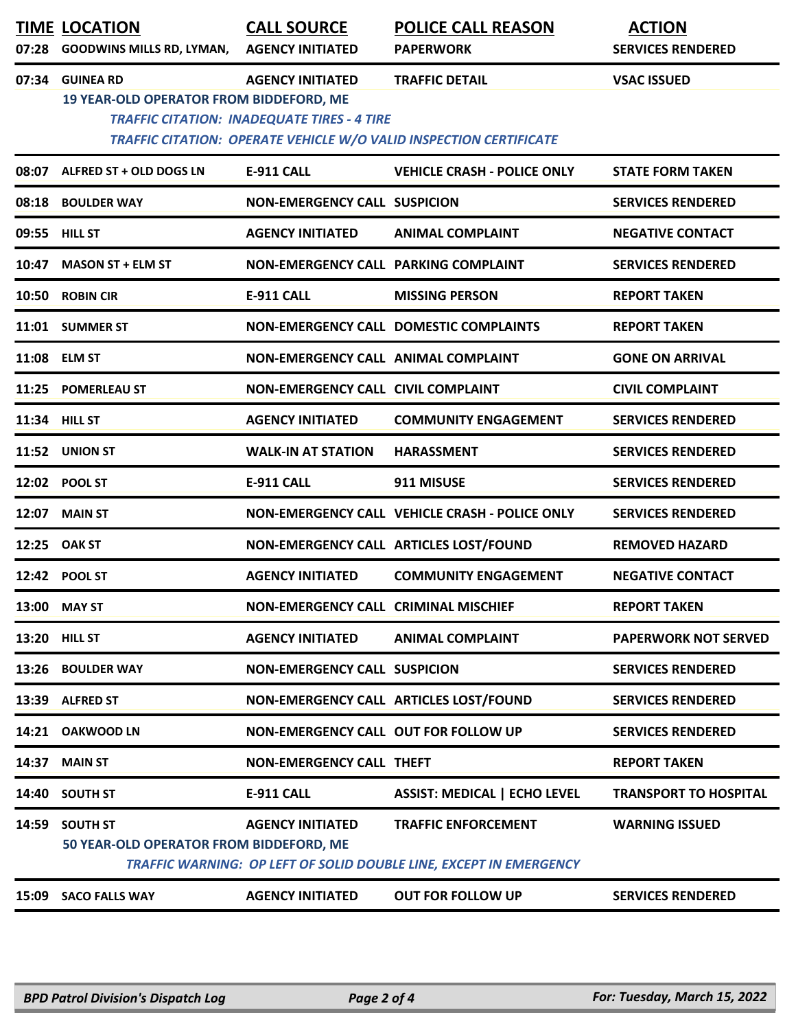|       | <b>TIME LOCATION</b><br>07:28 GOODWINS MILLS RD, LYMAN,     | <b>CALL SOURCE</b><br><b>AGENCY INITIATED</b>                                 | <b>POLICE CALL REASON</b><br><b>PAPERWORK</b>                                                    | <b>ACTION</b><br><b>SERVICES RENDERED</b> |
|-------|-------------------------------------------------------------|-------------------------------------------------------------------------------|--------------------------------------------------------------------------------------------------|-------------------------------------------|
| 07:34 | <b>GUINEA RD</b><br>19 YEAR-OLD OPERATOR FROM BIDDEFORD, ME | <b>AGENCY INITIATED</b><br><b>TRAFFIC CITATION: INADEQUATE TIRES - 4 TIRE</b> | <b>TRAFFIC DETAIL</b><br>TRAFFIC CITATION: OPERATE VEHICLE W/O VALID INSPECTION CERTIFICATE      | <b>VSAC ISSUED</b>                        |
|       | 08:07 ALFRED ST + OLD DOGS LN                               | <b>E-911 CALL</b>                                                             | <b>VEHICLE CRASH - POLICE ONLY</b>                                                               | <b>STATE FORM TAKEN</b>                   |
|       | 08:18 BOULDER WAY                                           | <b>NON-EMERGENCY CALL SUSPICION</b>                                           |                                                                                                  | <b>SERVICES RENDERED</b>                  |
|       | 09:55 HILL ST                                               | <b>AGENCY INITIATED</b>                                                       | <b>ANIMAL COMPLAINT</b>                                                                          | <b>NEGATIVE CONTACT</b>                   |
|       | 10:47 MASON ST + ELM ST                                     | NON-EMERGENCY CALL PARKING COMPLAINT                                          |                                                                                                  | <b>SERVICES RENDERED</b>                  |
|       | 10:50 ROBIN CIR                                             | <b>E-911 CALL</b>                                                             | <b>MISSING PERSON</b>                                                                            | <b>REPORT TAKEN</b>                       |
|       | 11:01 SUMMER ST                                             |                                                                               | NON-EMERGENCY CALL DOMESTIC COMPLAINTS                                                           | <b>REPORT TAKEN</b>                       |
|       | 11:08 ELM ST                                                | NON-EMERGENCY CALL ANIMAL COMPLAINT                                           |                                                                                                  | <b>GONE ON ARRIVAL</b>                    |
|       | 11:25 POMERLEAU ST                                          | NON-EMERGENCY CALL CIVIL COMPLAINT                                            |                                                                                                  | <b>CIVIL COMPLAINT</b>                    |
|       | 11:34 HILL ST                                               | <b>AGENCY INITIATED</b>                                                       | <b>COMMUNITY ENGAGEMENT</b>                                                                      | <b>SERVICES RENDERED</b>                  |
|       | 11:52 UNION ST                                              | <b>WALK-IN AT STATION</b>                                                     | <b>HARASSMENT</b>                                                                                | <b>SERVICES RENDERED</b>                  |
|       | 12:02 POOL ST                                               | <b>E-911 CALL</b>                                                             | 911 MISUSE                                                                                       | <b>SERVICES RENDERED</b>                  |
| 12:07 | <b>MAIN ST</b>                                              |                                                                               | NON-EMERGENCY CALL VEHICLE CRASH - POLICE ONLY                                                   | <b>SERVICES RENDERED</b>                  |
| 12:25 | <b>OAK ST</b>                                               |                                                                               | NON-EMERGENCY CALL ARTICLES LOST/FOUND                                                           | <b>REMOVED HAZARD</b>                     |
|       | 12:42 POOL ST                                               | <b>AGENCY INITIATED</b>                                                       | <b>COMMUNITY ENGAGEMENT</b>                                                                      | <b>NEGATIVE CONTACT</b>                   |
|       | 13:00 MAY ST                                                | NON-EMERGENCY CALL CRIMINAL MISCHIEF                                          |                                                                                                  | <b>REPORT TAKEN</b>                       |
|       | 13:20 HILL ST                                               | <b>AGENCY INITIATED</b>                                                       | <b>ANIMAL COMPLAINT</b>                                                                          | <b>PAPERWORK NOT SERVED</b>               |
| 13:26 | <b>BOULDER WAY</b>                                          | <b>NON-EMERGENCY CALL SUSPICION</b>                                           |                                                                                                  | <b>SERVICES RENDERED</b>                  |
|       | 13:39 ALFRED ST                                             |                                                                               | NON-EMERGENCY CALL ARTICLES LOST/FOUND                                                           | <b>SERVICES RENDERED</b>                  |
|       | 14:21 OAKWOOD LN                                            | <b>NON-EMERGENCY CALL OUT FOR FOLLOW UP</b>                                   |                                                                                                  | <b>SERVICES RENDERED</b>                  |
| 14:37 | <b>MAIN ST</b>                                              | <b>NON-EMERGENCY CALL THEFT</b>                                               |                                                                                                  | <b>REPORT TAKEN</b>                       |
| 14:40 | <b>SOUTH ST</b>                                             | <b>E-911 CALL</b>                                                             | <b>ASSIST: MEDICAL   ECHO LEVEL</b>                                                              | <b>TRANSPORT TO HOSPITAL</b>              |
| 14:59 | <b>SOUTH ST</b><br>50 YEAR-OLD OPERATOR FROM BIDDEFORD, ME  | <b>AGENCY INITIATED</b>                                                       | <b>TRAFFIC ENFORCEMENT</b><br>TRAFFIC WARNING: OP LEFT OF SOLID DOUBLE LINE, EXCEPT IN EMERGENCY | <b>WARNING ISSUED</b>                     |
|       | 15:09 SACO FALLS WAY                                        | <b>AGENCY INITIATED</b>                                                       | <b>OUT FOR FOLLOW UP</b>                                                                         | <b>SERVICES RENDERED</b>                  |
|       |                                                             |                                                                               |                                                                                                  |                                           |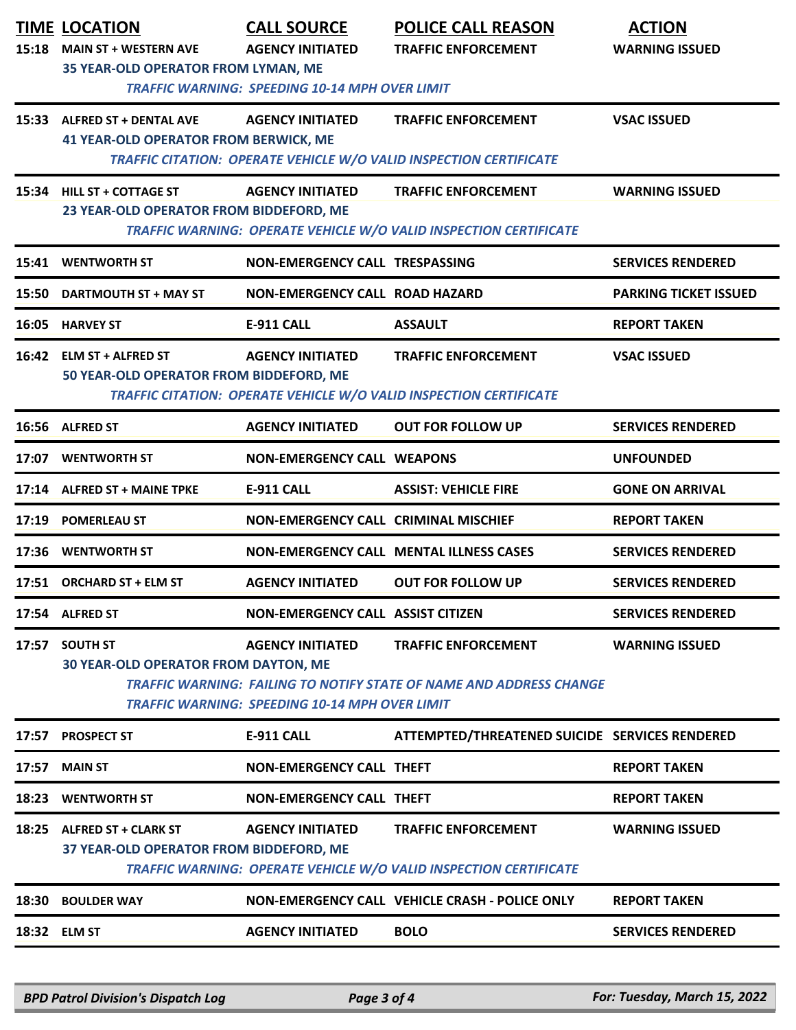| 15:18 | <b>TIME LOCATION</b><br><b>MAIN ST + WESTERN AVE</b><br>35 YEAR-OLD OPERATOR FROM LYMAN, ME | <b>CALL SOURCE</b><br><b>AGENCY INITIATED</b><br><b>TRAFFIC WARNING: SPEEDING 10-14 MPH OVER LIMIT</b> | <b>POLICE CALL REASON</b><br><b>TRAFFIC ENFORCEMENT</b>                                                  | <b>ACTION</b><br><b>WARNING ISSUED</b> |
|-------|---------------------------------------------------------------------------------------------|--------------------------------------------------------------------------------------------------------|----------------------------------------------------------------------------------------------------------|----------------------------------------|
|       | 15:33 ALFRED ST + DENTAL AVE<br><b>41 YEAR-OLD OPERATOR FROM BERWICK, ME</b>                | <b>AGENCY INITIATED</b>                                                                                | <b>TRAFFIC ENFORCEMENT</b><br>TRAFFIC CITATION: OPERATE VEHICLE W/O VALID INSPECTION CERTIFICATE         | <b>VSAC ISSUED</b>                     |
|       | 15:34 HILL ST + COTTAGE ST<br>23 YEAR-OLD OPERATOR FROM BIDDEFORD, ME                       | <b>AGENCY INITIATED</b>                                                                                | <b>TRAFFIC ENFORCEMENT</b><br>TRAFFIC WARNING: OPERATE VEHICLE W/O VALID INSPECTION CERTIFICATE          | <b>WARNING ISSUED</b>                  |
|       | 15:41 WENTWORTH ST                                                                          | NON-EMERGENCY CALL TRESPASSING                                                                         |                                                                                                          | <b>SERVICES RENDERED</b>               |
| 15:50 | <b>DARTMOUTH ST + MAY ST</b>                                                                | <b>NON-EMERGENCY CALL ROAD HAZARD</b>                                                                  |                                                                                                          | <b>PARKING TICKET ISSUED</b>           |
|       | 16:05 HARVEY ST                                                                             | <b>E-911 CALL</b>                                                                                      | <b>ASSAULT</b>                                                                                           | <b>REPORT TAKEN</b>                    |
|       | 16:42 ELM ST + ALFRED ST<br>50 YEAR-OLD OPERATOR FROM BIDDEFORD, ME                         | <b>AGENCY INITIATED</b>                                                                                | <b>TRAFFIC ENFORCEMENT</b><br>TRAFFIC CITATION: OPERATE VEHICLE W/O VALID INSPECTION CERTIFICATE         | <b>VSAC ISSUED</b>                     |
|       | 16:56 ALFRED ST                                                                             | <b>AGENCY INITIATED</b>                                                                                | <b>OUT FOR FOLLOW UP</b>                                                                                 | <b>SERVICES RENDERED</b>               |
|       | 17:07 WENTWORTH ST                                                                          | <b>NON-EMERGENCY CALL WEAPONS</b>                                                                      |                                                                                                          | <b>UNFOUNDED</b>                       |
|       | 17:14 ALFRED ST + MAINE TPKE                                                                | <b>E-911 CALL</b>                                                                                      | <b>ASSIST: VEHICLE FIRE</b>                                                                              | <b>GONE ON ARRIVAL</b>                 |
| 17:19 | <b>POMERLEAU ST</b>                                                                         | NON-EMERGENCY CALL CRIMINAL MISCHIEF                                                                   |                                                                                                          | <b>REPORT TAKEN</b>                    |
|       | 17:36 WENTWORTH ST                                                                          |                                                                                                        | <b>NON-EMERGENCY CALL MENTAL ILLNESS CASES</b>                                                           | <b>SERVICES RENDERED</b>               |
|       | 17:51 ORCHARD ST + ELM ST                                                                   | <b>AGENCY INITIATED</b>                                                                                | <b>OUT FOR FOLLOW UP</b>                                                                                 | <b>SERVICES RENDERED</b>               |
|       | 17:54 ALFRED ST                                                                             | <b>NON-EMERGENCY CALL ASSIST CITIZEN</b>                                                               |                                                                                                          | <b>SERVICES RENDERED</b>               |
|       | 17:57 SOUTH ST<br><b>30 YEAR-OLD OPERATOR FROM DAYTON, ME</b>                               | <b>AGENCY INITIATED</b><br><b>TRAFFIC WARNING: SPEEDING 10-14 MPH OVER LIMIT</b>                       | <b>TRAFFIC ENFORCEMENT</b><br><b>TRAFFIC WARNING: FAILING TO NOTIFY STATE OF NAME AND ADDRESS CHANGE</b> | <b>WARNING ISSUED</b>                  |
|       | 17:57 PROSPECT ST                                                                           | E-911 CALL                                                                                             | ATTEMPTED/THREATENED SUICIDE SERVICES RENDERED                                                           |                                        |
|       | 17:57 MAIN ST                                                                               | <b>NON-EMERGENCY CALL THEFT</b>                                                                        |                                                                                                          | <b>REPORT TAKEN</b>                    |
| 18:23 | <b>WENTWORTH ST</b>                                                                         | <b>NON-EMERGENCY CALL THEFT</b>                                                                        |                                                                                                          | <b>REPORT TAKEN</b>                    |
|       | 18:25 ALFRED ST + CLARK ST<br>37 YEAR-OLD OPERATOR FROM BIDDEFORD, ME                       | <b>AGENCY INITIATED</b>                                                                                | <b>TRAFFIC ENFORCEMENT</b><br>TRAFFIC WARNING: OPERATE VEHICLE W/O VALID INSPECTION CERTIFICATE          | <b>WARNING ISSUED</b>                  |
|       | 18:30 BOULDER WAY                                                                           |                                                                                                        | NON-EMERGENCY CALL VEHICLE CRASH - POLICE ONLY                                                           | <b>REPORT TAKEN</b>                    |
|       | 18:32 ELM ST                                                                                | <b>AGENCY INITIATED</b>                                                                                | <b>BOLO</b>                                                                                              | <b>SERVICES RENDERED</b>               |